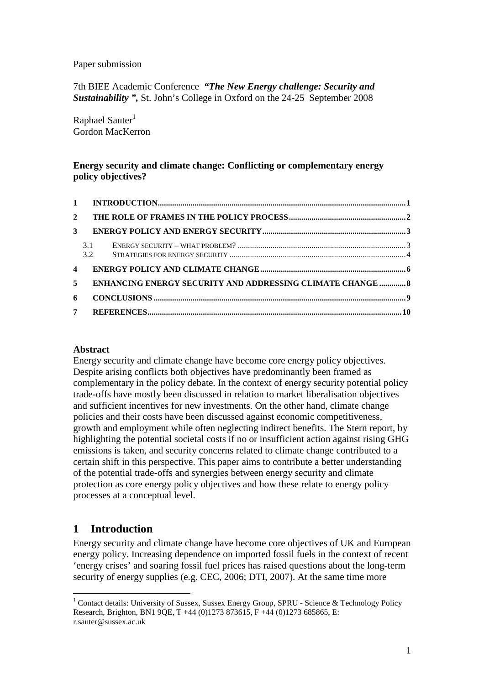Paper submission

7th BIEE Academic Conference *"The New Energy challenge: Security and Sustainability ",* St. John's College in Oxford on the 24-25 September 2008

Raphael Sauter $<sup>1</sup>$ </sup> Gordon MacKerron

#### **Energy security and climate change: Conflicting or complementary energy policy objectives?**

| $2^{\circ}$    |                                                                   |  |
|----------------|-------------------------------------------------------------------|--|
| 3              |                                                                   |  |
|                | 3.1<br>3.2                                                        |  |
| $\overline{4}$ |                                                                   |  |
| 5              | <b>ENHANCING ENERGY SECURITY AND ADDRESSING CLIMATE CHANGE  8</b> |  |
| 6              |                                                                   |  |
|                | $7^{\circ}$                                                       |  |

#### **Abstract**

Energy security and climate change have become core energy policy objectives. Despite arising conflicts both objectives have predominantly been framed as complementary in the policy debate. In the context of energy security potential policy trade-offs have mostly been discussed in relation to market liberalisation objectives and sufficient incentives for new investments. On the other hand, climate change policies and their costs have been discussed against economic competitiveness, growth and employment while often neglecting indirect benefits. The Stern report, by highlighting the potential societal costs if no or insufficient action against rising GHG emissions is taken, and security concerns related to climate change contributed to a certain shift in this perspective. This paper aims to contribute a better understanding of the potential trade-offs and synergies between energy security and climate protection as core energy policy objectives and how these relate to energy policy processes at a conceptual level.

### **1 Introduction**

Energy security and climate change have become core objectives of UK and European energy policy. Increasing dependence on imported fossil fuels in the context of recent 'energy crises' and soaring fossil fuel prices has raised questions about the long-term security of energy supplies (e.g. CEC, 2006; DTI, 2007). At the same time more

<sup>&</sup>lt;sup>1</sup> Contact details: University of Sussex, Sussex Energy Group, SPRU - Science & Technology Policy Research, Brighton, BN1 9QE, T +44 (0)1273 873615, F +44 (0)1273 685865, E: r.sauter@sussex.ac.uk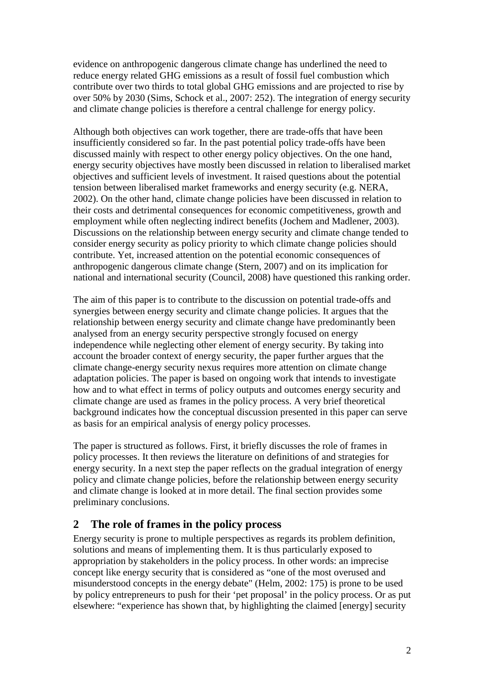evidence on anthropogenic dangerous climate change has underlined the need to reduce energy related GHG emissions as a result of fossil fuel combustion which contribute over two thirds to total global GHG emissions and are projected to rise by over 50% by 2030 (Sims, Schock et al., 2007: 252). The integration of energy security and climate change policies is therefore a central challenge for energy policy.

Although both objectives can work together, there are trade-offs that have been insufficiently considered so far. In the past potential policy trade-offs have been discussed mainly with respect to other energy policy objectives. On the one hand, energy security objectives have mostly been discussed in relation to liberalised market objectives and sufficient levels of investment. It raised questions about the potential tension between liberalised market frameworks and energy security (e.g. NERA, 2002). On the other hand, climate change policies have been discussed in relation to their costs and detrimental consequences for economic competitiveness, growth and employment while often neglecting indirect benefits (Jochem and Madlener, 2003). Discussions on the relationship between energy security and climate change tended to consider energy security as policy priority to which climate change policies should contribute. Yet, increased attention on the potential economic consequences of anthropogenic dangerous climate change (Stern, 2007) and on its implication for national and international security (Council, 2008) have questioned this ranking order.

The aim of this paper is to contribute to the discussion on potential trade-offs and synergies between energy security and climate change policies. It argues that the relationship between energy security and climate change have predominantly been analysed from an energy security perspective strongly focused on energy independence while neglecting other element of energy security. By taking into account the broader context of energy security, the paper further argues that the climate change-energy security nexus requires more attention on climate change adaptation policies. The paper is based on ongoing work that intends to investigate how and to what effect in terms of policy outputs and outcomes energy security and climate change are used as frames in the policy process. A very brief theoretical background indicates how the conceptual discussion presented in this paper can serve as basis for an empirical analysis of energy policy processes.

The paper is structured as follows. First, it briefly discusses the role of frames in policy processes. It then reviews the literature on definitions of and strategies for energy security. In a next step the paper reflects on the gradual integration of energy policy and climate change policies, before the relationship between energy security and climate change is looked at in more detail. The final section provides some preliminary conclusions.

# **2 The role of frames in the policy process**

Energy security is prone to multiple perspectives as regards its problem definition, solutions and means of implementing them. It is thus particularly exposed to appropriation by stakeholders in the policy process. In other words: an imprecise concept like energy security that is considered as "one of the most overused and misunderstood concepts in the energy debate" (Helm, 2002: 175) is prone to be used by policy entrepreneurs to push for their 'pet proposal' in the policy process. Or as put elsewhere: "experience has shown that, by highlighting the claimed [energy] security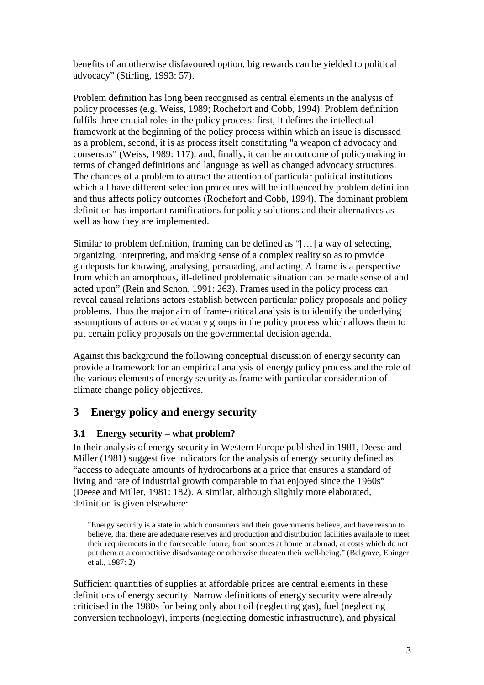benefits of an otherwise disfavoured option, big rewards can be yielded to political advocacy" (Stirling, 1993: 57).

Problem definition has long been recognised as central elements in the analysis of policy processes (e.g. Weiss, 1989; Rochefort and Cobb, 1994). Problem definition fulfils three crucial roles in the policy process: first, it defines the intellectual framework at the beginning of the policy process within which an issue is discussed as a problem, second, it is as process itself constituting "a weapon of advocacy and consensus" (Weiss, 1989: 117), and, finally, it can be an outcome of policymaking in terms of changed definitions and language as well as changed advocacy structures. The chances of a problem to attract the attention of particular political institutions which all have different selection procedures will be influenced by problem definition and thus affects policy outcomes (Rochefort and Cobb, 1994). The dominant problem definition has important ramifications for policy solutions and their alternatives as well as how they are implemented.

Similar to problem definition, framing can be defined as "[…] a way of selecting, organizing, interpreting, and making sense of a complex reality so as to provide guideposts for knowing, analysing, persuading, and acting. A frame is a perspective from which an amorphous, ill-defined problematic situation can be made sense of and acted upon" (Rein and Schon, 1991: 263). Frames used in the policy process can reveal causal relations actors establish between particular policy proposals and policy problems. Thus the major aim of frame-critical analysis is to identify the underlying assumptions of actors or advocacy groups in the policy process which allows them to put certain policy proposals on the governmental decision agenda.

Against this background the following conceptual discussion of energy security can provide a framework for an empirical analysis of energy policy process and the role of the various elements of energy security as frame with particular consideration of climate change policy objectives.

# **3 Energy policy and energy security**

#### **3.1 Energy security – what problem?**

In their analysis of energy security in Western Europe published in 1981, Deese and Miller (1981) suggest five indicators for the analysis of energy security defined as "access to adequate amounts of hydrocarbons at a price that ensures a standard of living and rate of industrial growth comparable to that enjoyed since the 1960s" (Deese and Miller, 1981: 182). A similar, although slightly more elaborated, definition is given elsewhere:

"Energy security is a state in which consumers and their governments believe, and have reason to believe, that there are adequate reserves and production and distribution facilities available to meet their requirements in the foreseeable future, from sources at home or abroad, at costs which do not put them at a competitive disadvantage or otherwise threaten their well-being." (Belgrave, Ebinger et al., 1987: 2)

Sufficient quantities of supplies at affordable prices are central elements in these definitions of energy security. Narrow definitions of energy security were already criticised in the 1980s for being only about oil (neglecting gas), fuel (neglecting conversion technology), imports (neglecting domestic infrastructure), and physical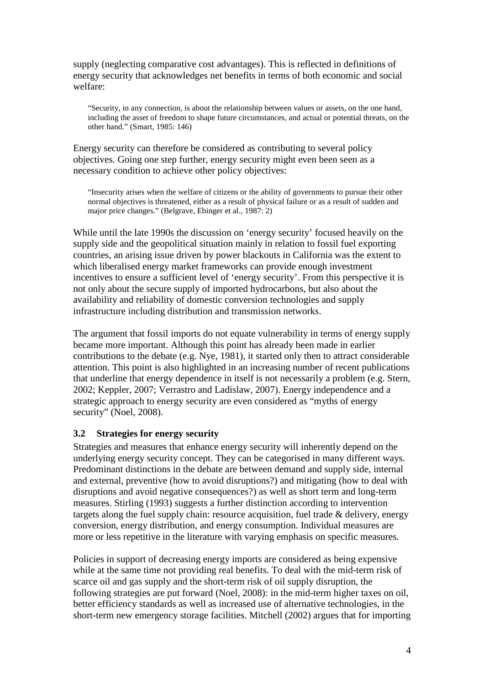supply (neglecting comparative cost advantages). This is reflected in definitions of energy security that acknowledges net benefits in terms of both economic and social welfare:

"Security, in any connection, is about the relationship between values or assets, on the one hand, including the asset of freedom to shape future circumstances, and actual or potential threats, on the other hand." (Smart, 1985: 146)

Energy security can therefore be considered as contributing to several policy objectives. Going one step further, energy security might even been seen as a necessary condition to achieve other policy objectives:

"Insecurity arises when the welfare of citizens or the ability of governments to pursue their other normal objectives is threatened, either as a result of physical failure or as a result of sudden and major price changes." (Belgrave, Ebinger et al., 1987: 2)

While until the late 1990s the discussion on 'energy security' focused heavily on the supply side and the geopolitical situation mainly in relation to fossil fuel exporting countries, an arising issue driven by power blackouts in California was the extent to which liberalised energy market frameworks can provide enough investment incentives to ensure a sufficient level of 'energy security'. From this perspective it is not only about the secure supply of imported hydrocarbons, but also about the availability and reliability of domestic conversion technologies and supply infrastructure including distribution and transmission networks.

The argument that fossil imports do not equate vulnerability in terms of energy supply became more important. Although this point has already been made in earlier contributions to the debate (e.g. Nye, 1981), it started only then to attract considerable attention. This point is also highlighted in an increasing number of recent publications that underline that energy dependence in itself is not necessarily a problem (e.g. Stern, 2002; Keppler, 2007; Verrastro and Ladislaw, 2007). Energy independence and a strategic approach to energy security are even considered as "myths of energy security" (Noel, 2008).

#### **3.2 Strategies for energy security**

Strategies and measures that enhance energy security will inherently depend on the underlying energy security concept. They can be categorised in many different ways. Predominant distinctions in the debate are between demand and supply side, internal and external, preventive (how to avoid disruptions?) and mitigating (how to deal with disruptions and avoid negative consequences?) as well as short term and long-term measures. Stirling (1993) suggests a further distinction according to intervention targets along the fuel supply chain: resource acquisition, fuel trade & delivery, energy conversion, energy distribution, and energy consumption. Individual measures are more or less repetitive in the literature with varying emphasis on specific measures.

Policies in support of decreasing energy imports are considered as being expensive while at the same time not providing real benefits. To deal with the mid-term risk of scarce oil and gas supply and the short-term risk of oil supply disruption, the following strategies are put forward (Noel, 2008): in the mid-term higher taxes on oil, better efficiency standards as well as increased use of alternative technologies, in the short-term new emergency storage facilities. Mitchell (2002) argues that for importing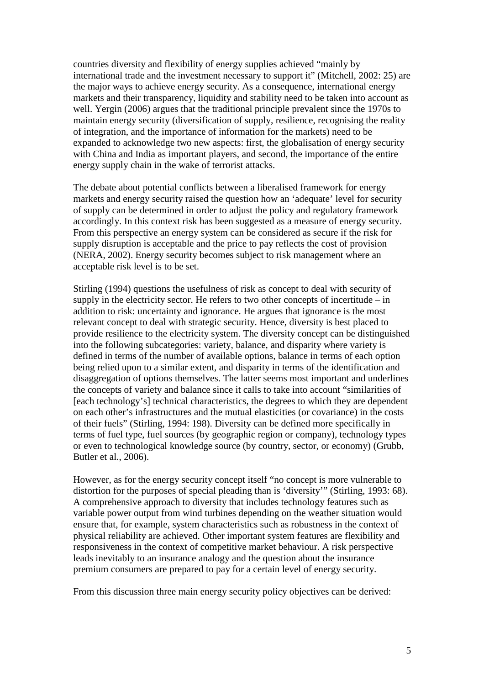countries diversity and flexibility of energy supplies achieved "mainly by international trade and the investment necessary to support it" (Mitchell, 2002: 25) are the major ways to achieve energy security. As a consequence, international energy markets and their transparency, liquidity and stability need to be taken into account as well. Yergin (2006) argues that the traditional principle prevalent since the 1970s to maintain energy security (diversification of supply, resilience, recognising the reality of integration, and the importance of information for the markets) need to be expanded to acknowledge two new aspects: first, the globalisation of energy security with China and India as important players, and second, the importance of the entire energy supply chain in the wake of terrorist attacks.

The debate about potential conflicts between a liberalised framework for energy markets and energy security raised the question how an 'adequate' level for security of supply can be determined in order to adjust the policy and regulatory framework accordingly. In this context risk has been suggested as a measure of energy security. From this perspective an energy system can be considered as secure if the risk for supply disruption is acceptable and the price to pay reflects the cost of provision (NERA, 2002). Energy security becomes subject to risk management where an acceptable risk level is to be set.

Stirling (1994) questions the usefulness of risk as concept to deal with security of supply in the electricity sector. He refers to two other concepts of incertitude – in addition to risk: uncertainty and ignorance. He argues that ignorance is the most relevant concept to deal with strategic security. Hence, diversity is best placed to provide resilience to the electricity system. The diversity concept can be distinguished into the following subcategories: variety, balance, and disparity where variety is defined in terms of the number of available options, balance in terms of each option being relied upon to a similar extent, and disparity in terms of the identification and disaggregation of options themselves. The latter seems most important and underlines the concepts of variety and balance since it calls to take into account "similarities of [each technology's] technical characteristics, the degrees to which they are dependent on each other's infrastructures and the mutual elasticities (or covariance) in the costs of their fuels" (Stirling, 1994: 198). Diversity can be defined more specifically in terms of fuel type, fuel sources (by geographic region or company), technology types or even to technological knowledge source (by country, sector, or economy) (Grubb, Butler et al., 2006).

However, as for the energy security concept itself "no concept is more vulnerable to distortion for the purposes of special pleading than is 'diversity'" (Stirling, 1993: 68). A comprehensive approach to diversity that includes technology features such as variable power output from wind turbines depending on the weather situation would ensure that, for example, system characteristics such as robustness in the context of physical reliability are achieved. Other important system features are flexibility and responsiveness in the context of competitive market behaviour. A risk perspective leads inevitably to an insurance analogy and the question about the insurance premium consumers are prepared to pay for a certain level of energy security.

From this discussion three main energy security policy objectives can be derived: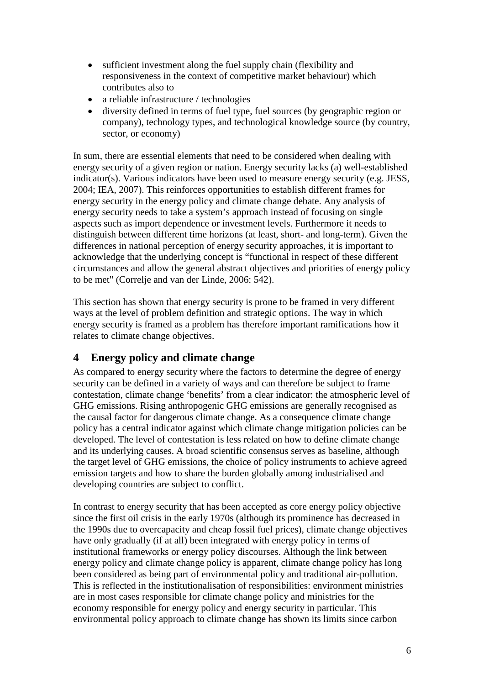- sufficient investment along the fuel supply chain (flexibility and responsiveness in the context of competitive market behaviour) which contributes also to
- a reliable infrastructure / technologies
- diversity defined in terms of fuel type, fuel sources (by geographic region or company), technology types, and technological knowledge source (by country, sector, or economy)

In sum, there are essential elements that need to be considered when dealing with energy security of a given region or nation. Energy security lacks (a) well-established indicator(s). Various indicators have been used to measure energy security (e.g. JESS, 2004; IEA, 2007). This reinforces opportunities to establish different frames for energy security in the energy policy and climate change debate. Any analysis of energy security needs to take a system's approach instead of focusing on single aspects such as import dependence or investment levels. Furthermore it needs to distinguish between different time horizons (at least, short- and long-term). Given the differences in national perception of energy security approaches, it is important to acknowledge that the underlying concept is "functional in respect of these different circumstances and allow the general abstract objectives and priorities of energy policy to be met" (Correlje and van der Linde, 2006: 542).

This section has shown that energy security is prone to be framed in very different ways at the level of problem definition and strategic options. The way in which energy security is framed as a problem has therefore important ramifications how it relates to climate change objectives.

### **4 Energy policy and climate change**

As compared to energy security where the factors to determine the degree of energy security can be defined in a variety of ways and can therefore be subject to frame contestation, climate change 'benefits' from a clear indicator: the atmospheric level of GHG emissions. Rising anthropogenic GHG emissions are generally recognised as the causal factor for dangerous climate change. As a consequence climate change policy has a central indicator against which climate change mitigation policies can be developed. The level of contestation is less related on how to define climate change and its underlying causes. A broad scientific consensus serves as baseline, although the target level of GHG emissions, the choice of policy instruments to achieve agreed emission targets and how to share the burden globally among industrialised and developing countries are subject to conflict.

In contrast to energy security that has been accepted as core energy policy objective since the first oil crisis in the early 1970s (although its prominence has decreased in the 1990s due to overcapacity and cheap fossil fuel prices), climate change objectives have only gradually (if at all) been integrated with energy policy in terms of institutional frameworks or energy policy discourses. Although the link between energy policy and climate change policy is apparent, climate change policy has long been considered as being part of environmental policy and traditional air-pollution. This is reflected in the institutionalisation of responsibilities: environment ministries are in most cases responsible for climate change policy and ministries for the economy responsible for energy policy and energy security in particular. This environmental policy approach to climate change has shown its limits since carbon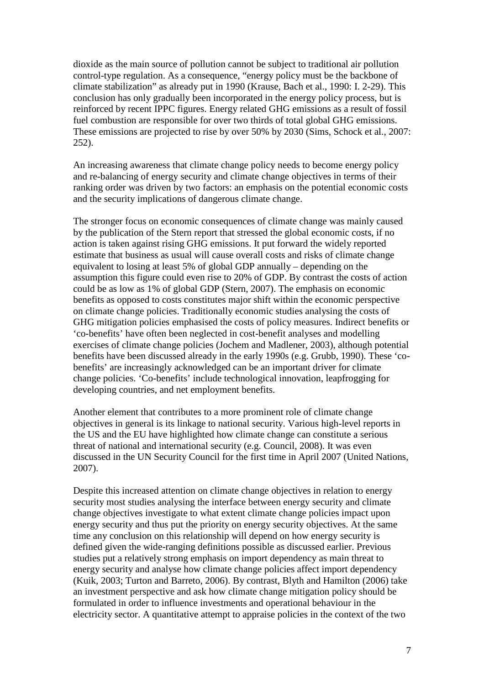dioxide as the main source of pollution cannot be subject to traditional air pollution control-type regulation. As a consequence, "energy policy must be the backbone of climate stabilization" as already put in 1990 (Krause, Bach et al., 1990: I. 2-29). This conclusion has only gradually been incorporated in the energy policy process, but is reinforced by recent IPPC figures. Energy related GHG emissions as a result of fossil fuel combustion are responsible for over two thirds of total global GHG emissions. These emissions are projected to rise by over 50% by 2030 (Sims, Schock et al., 2007: 252).

An increasing awareness that climate change policy needs to become energy policy and re-balancing of energy security and climate change objectives in terms of their ranking order was driven by two factors: an emphasis on the potential economic costs and the security implications of dangerous climate change.

The stronger focus on economic consequences of climate change was mainly caused by the publication of the Stern report that stressed the global economic costs, if no action is taken against rising GHG emissions. It put forward the widely reported estimate that business as usual will cause overall costs and risks of climate change equivalent to losing at least 5% of global GDP annually – depending on the assumption this figure could even rise to 20% of GDP. By contrast the costs of action could be as low as 1% of global GDP (Stern, 2007). The emphasis on economic benefits as opposed to costs constitutes major shift within the economic perspective on climate change policies. Traditionally economic studies analysing the costs of GHG mitigation policies emphasised the costs of policy measures. Indirect benefits or 'co-benefits' have often been neglected in cost-benefit analyses and modelling exercises of climate change policies (Jochem and Madlener, 2003), although potential benefits have been discussed already in the early 1990s (e.g. Grubb, 1990). These 'cobenefits' are increasingly acknowledged can be an important driver for climate change policies. 'Co-benefits' include technological innovation, leapfrogging for developing countries, and net employment benefits.

Another element that contributes to a more prominent role of climate change objectives in general is its linkage to national security. Various high-level reports in the US and the EU have highlighted how climate change can constitute a serious threat of national and international security (e.g. Council, 2008). It was even discussed in the UN Security Council for the first time in April 2007 (United Nations, 2007).

Despite this increased attention on climate change objectives in relation to energy security most studies analysing the interface between energy security and climate change objectives investigate to what extent climate change policies impact upon energy security and thus put the priority on energy security objectives. At the same time any conclusion on this relationship will depend on how energy security is defined given the wide-ranging definitions possible as discussed earlier. Previous studies put a relatively strong emphasis on import dependency as main threat to energy security and analyse how climate change policies affect import dependency (Kuik, 2003; Turton and Barreto, 2006). By contrast, Blyth and Hamilton (2006) take an investment perspective and ask how climate change mitigation policy should be formulated in order to influence investments and operational behaviour in the electricity sector. A quantitative attempt to appraise policies in the context of the two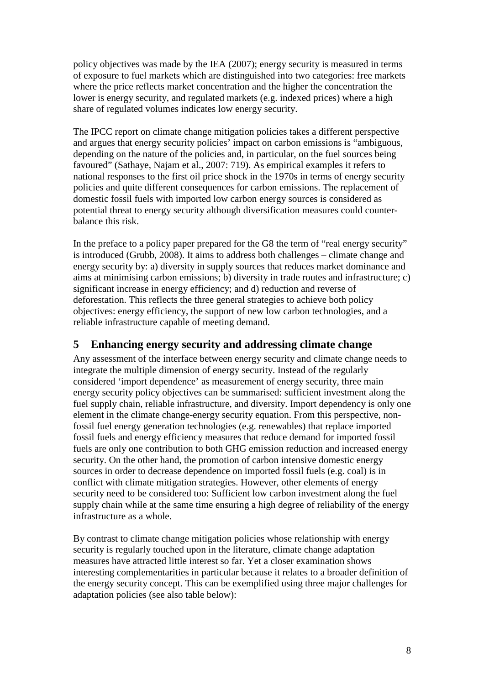policy objectives was made by the IEA (2007); energy security is measured in terms of exposure to fuel markets which are distinguished into two categories: free markets where the price reflects market concentration and the higher the concentration the lower is energy security, and regulated markets (e.g. indexed prices) where a high share of regulated volumes indicates low energy security.

The IPCC report on climate change mitigation policies takes a different perspective and argues that energy security policies' impact on carbon emissions is "ambiguous, depending on the nature of the policies and, in particular, on the fuel sources being favoured" (Sathaye, Najam et al., 2007: 719). As empirical examples it refers to national responses to the first oil price shock in the 1970s in terms of energy security policies and quite different consequences for carbon emissions. The replacement of domestic fossil fuels with imported low carbon energy sources is considered as potential threat to energy security although diversification measures could counterbalance this risk.

In the preface to a policy paper prepared for the G8 the term of "real energy security" is introduced (Grubb, 2008). It aims to address both challenges – climate change and energy security by: a) diversity in supply sources that reduces market dominance and aims at minimising carbon emissions; b) diversity in trade routes and infrastructure; c) significant increase in energy efficiency; and d) reduction and reverse of deforestation. This reflects the three general strategies to achieve both policy objectives: energy efficiency, the support of new low carbon technologies, and a reliable infrastructure capable of meeting demand.

## **5 Enhancing energy security and addressing climate change**

Any assessment of the interface between energy security and climate change needs to integrate the multiple dimension of energy security. Instead of the regularly considered 'import dependence' as measurement of energy security, three main energy security policy objectives can be summarised: sufficient investment along the fuel supply chain, reliable infrastructure, and diversity. Import dependency is only one element in the climate change-energy security equation. From this perspective, nonfossil fuel energy generation technologies (e.g. renewables) that replace imported fossil fuels and energy efficiency measures that reduce demand for imported fossil fuels are only one contribution to both GHG emission reduction and increased energy security. On the other hand, the promotion of carbon intensive domestic energy sources in order to decrease dependence on imported fossil fuels (e.g. coal) is in conflict with climate mitigation strategies. However, other elements of energy security need to be considered too: Sufficient low carbon investment along the fuel supply chain while at the same time ensuring a high degree of reliability of the energy infrastructure as a whole.

By contrast to climate change mitigation policies whose relationship with energy security is regularly touched upon in the literature, climate change adaptation measures have attracted little interest so far. Yet a closer examination shows interesting complementarities in particular because it relates to a broader definition of the energy security concept. This can be exemplified using three major challenges for adaptation policies (see also table below):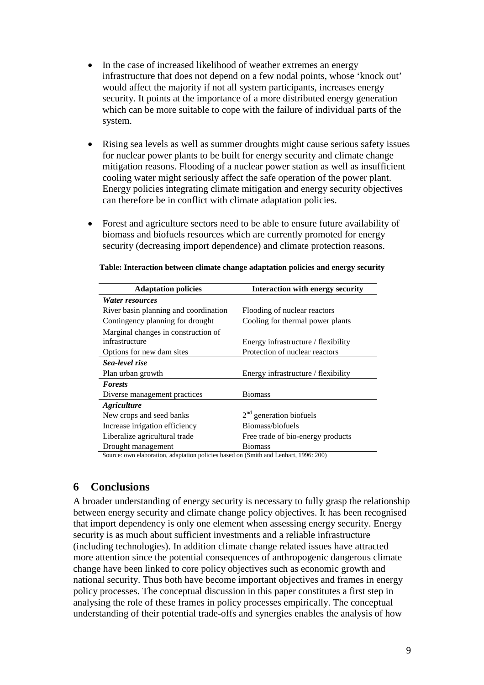- In the case of increased likelihood of weather extremes an energy infrastructure that does not depend on a few nodal points, whose 'knock out' would affect the majority if not all system participants, increases energy security. It points at the importance of a more distributed energy generation which can be more suitable to cope with the failure of individual parts of the system.
- Rising sea levels as well as summer droughts might cause serious safety issues for nuclear power plants to be built for energy security and climate change mitigation reasons. Flooding of a nuclear power station as well as insufficient cooling water might seriously affect the safe operation of the power plant. Energy policies integrating climate mitigation and energy security objectives can therefore be in conflict with climate adaptation policies.
- Forest and agriculture sectors need to be able to ensure future availability of biomass and biofuels resources which are currently promoted for energy security (decreasing import dependence) and climate protection reasons.

| <b>Adaptation policies</b>                                                           | <b>Interaction with energy security</b> |  |  |
|--------------------------------------------------------------------------------------|-----------------------------------------|--|--|
| <i>Water resources</i>                                                               |                                         |  |  |
| River basin planning and coordination                                                | Flooding of nuclear reactors            |  |  |
| Contingency planning for drought                                                     | Cooling for thermal power plants        |  |  |
| Marginal changes in construction of                                                  |                                         |  |  |
| infrastructure                                                                       | Energy infrastructure / flexibility     |  |  |
| Options for new dam sites                                                            | Protection of nuclear reactors          |  |  |
| Sea-level rise                                                                       |                                         |  |  |
| Plan urban growth                                                                    | Energy infrastructure / flexibility     |  |  |
| <b>Forests</b>                                                                       |                                         |  |  |
| Diverse management practices                                                         | Biomass                                 |  |  |
| <i><b>Agriculture</b></i>                                                            |                                         |  |  |
| New crops and seed banks                                                             | $2nd$ generation biofuels               |  |  |
| Increase irrigation efficiency                                                       | Biomass/biofuels                        |  |  |
| Liberalize agricultural trade                                                        | Free trade of bio-energy products       |  |  |
| Drought management                                                                   | <b>Biomass</b>                          |  |  |
| Source: own elaboration, adaptation policies based on (Smith and Lenhart, 1996: 200) |                                         |  |  |

**Table: Interaction between climate change adaptation policies and energy security**

#### **6 Conclusions**

A broader understanding of energy security is necessary to fully grasp the relationship between energy security and climate change policy objectives. It has been recognised that import dependency is only one element when assessing energy security. Energy security is as much about sufficient investments and a reliable infrastructure (including technologies). In addition climate change related issues have attracted more attention since the potential consequences of anthropogenic dangerous climate change have been linked to core policy objectives such as economic growth and national security. Thus both have become important objectives and frames in energy policy processes. The conceptual discussion in this paper constitutes a first step in analysing the role of these frames in policy processes empirically. The conceptual understanding of their potential trade-offs and synergies enables the analysis of how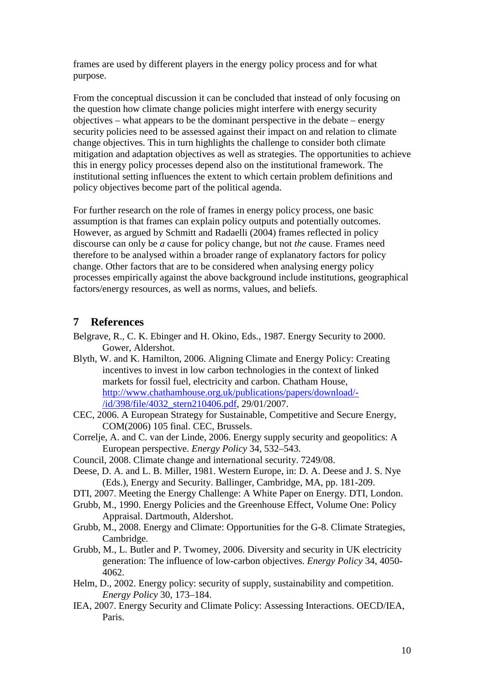frames are used by different players in the energy policy process and for what purpose.

From the conceptual discussion it can be concluded that instead of only focusing on the question how climate change policies might interfere with energy security objectives – what appears to be the dominant perspective in the debate – energy security policies need to be assessed against their impact on and relation to climate change objectives. This in turn highlights the challenge to consider both climate mitigation and adaptation objectives as well as strategies. The opportunities to achieve this in energy policy processes depend also on the institutional framework. The institutional setting influences the extent to which certain problem definitions and policy objectives become part of the political agenda.

For further research on the role of frames in energy policy process, one basic assumption is that frames can explain policy outputs and potentially outcomes. However, as argued by Schmitt and Radaelli (2004) frames reflected in policy discourse can only be *a* cause for policy change, but not *the* cause. Frames need therefore to be analysed within a broader range of explanatory factors for policy change. Other factors that are to be considered when analysing energy policy processes empirically against the above background include institutions, geographical factors/energy resources, as well as norms, values, and beliefs.

### **7 References**

- Belgrave, R., C. K. Ebinger and H. Okino, Eds., 1987. Energy Security to 2000. Gower, Aldershot.
- Blyth, W. and K. Hamilton, 2006. Aligning Climate and Energy Policy: Creating incentives to invest in low carbon technologies in the context of linked markets for fossil fuel, electricity and carbon. Chatham House, http://www.chathamhouse.org.uk/publications/papers/download/- /id/398/file/4032\_stern210406.pdf, 29/01/2007.
- CEC, 2006. A European Strategy for Sustainable, Competitive and Secure Energy, COM(2006) 105 final. CEC, Brussels.
- Correlje, A. and C. van der Linde, 2006. Energy supply security and geopolitics: A European perspective. *Energy Policy* 34, 532–543.
- Council, 2008. Climate change and international security. 7249/08.
- Deese, D. A. and L. B. Miller, 1981. Western Europe, in: D. A. Deese and J. S. Nye (Eds.), Energy and Security. Ballinger, Cambridge, MA, pp. 181-209.
- DTI, 2007. Meeting the Energy Challenge: A White Paper on Energy. DTI, London.
- Grubb, M., 1990. Energy Policies and the Greenhouse Effect, Volume One: Policy Appraisal. Dartmouth, Aldershot.
- Grubb, M., 2008. Energy and Climate: Opportunities for the G-8. Climate Strategies, Cambridge.
- Grubb, M., L. Butler and P. Twomey, 2006. Diversity and security in UK electricity generation: The influence of low-carbon objectives. *Energy Policy* 34, 4050- 4062.
- Helm, D., 2002. Energy policy: security of supply, sustainability and competition. *Energy Policy* 30, 173–184.
- IEA, 2007. Energy Security and Climate Policy: Assessing Interactions. OECD/IEA, Paris.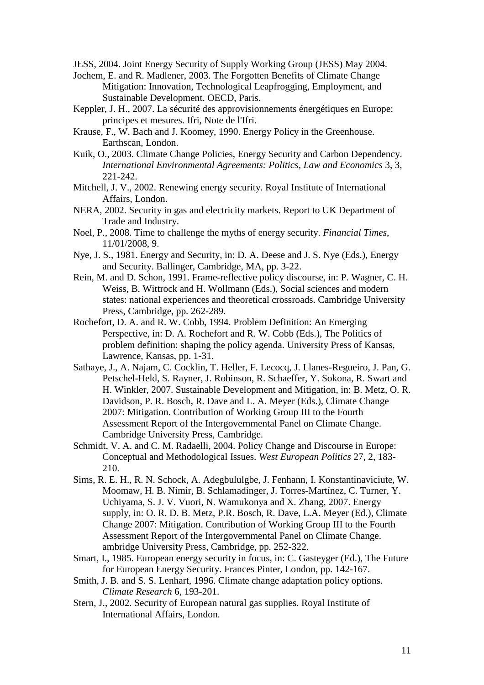JESS, 2004. Joint Energy Security of Supply Working Group (JESS) May 2004.

- Jochem, E. and R. Madlener, 2003. The Forgotten Benefits of Climate Change Mitigation: Innovation, Technological Leapfrogging, Employment, and Sustainable Development. OECD, Paris.
- Keppler, J. H., 2007. La sécurité des approvisionnements énergétiques en Europe: principes et mesures. Ifri, Note de l'Ifri.
- Krause, F., W. Bach and J. Koomey, 1990. Energy Policy in the Greenhouse. Earthscan, London.
- Kuik, O., 2003. Climate Change Policies, Energy Security and Carbon Dependency. *International Environmental Agreements: Politics, Law and Economics* 3, 3, 221-242.
- Mitchell, J. V., 2002. Renewing energy security. Royal Institute of International Affairs, London.
- NERA, 2002. Security in gas and electricity markets. Report to UK Department of Trade and Industry.
- Noel, P., 2008. Time to challenge the myths of energy security. *Financial Times*, 11/01/2008, 9.
- Nye, J. S., 1981. Energy and Security, in: D. A. Deese and J. S. Nye (Eds.), Energy and Security. Ballinger, Cambridge, MA, pp. 3-22.
- Rein, M. and D. Schon, 1991. Frame-reflective policy discourse, in: P. Wagner, C. H. Weiss, B. Wittrock and H. Wollmann (Eds.), Social sciences and modern states: national experiences and theoretical crossroads. Cambridge University Press, Cambridge, pp. 262-289.
- Rochefort, D. A. and R. W. Cobb, 1994. Problem Definition: An Emerging Perspective, in: D. A. Rochefort and R. W. Cobb (Eds.), The Politics of problem definition: shaping the policy agenda. University Press of Kansas, Lawrence, Kansas, pp. 1-31.
- Sathaye, J., A. Najam, C. Cocklin, T. Heller, F. Lecocq, J. Llanes-Regueiro, J. Pan, G. Petschel-Held, S. Rayner, J. Robinson, R. Schaeffer, Y. Sokona, R. Swart and H. Winkler, 2007. Sustainable Development and Mitigation, in: B. Metz, O. R. Davidson, P. R. Bosch, R. Dave and L. A. Meyer (Eds.), Climate Change 2007: Mitigation. Contribution of Working Group III to the Fourth Assessment Report of the Intergovernmental Panel on Climate Change. Cambridge University Press, Cambridge.
- Schmidt, V. A. and C. M. Radaelli, 2004. Policy Change and Discourse in Europe: Conceptual and Methodological Issues. *West European Politics* 27, 2, 183- 210.
- Sims, R. E. H., R. N. Schock, A. Adegbululgbe, J. Fenhann, I. Konstantinaviciute, W. Moomaw, H. B. Nimir, B. Schlamadinger, J. Torres-Martínez, C. Turner, Y. Uchiyama, S. J. V. Vuori, N. Wamukonya and X. Zhang, 2007. Energy supply, in: O. R. D. B. Metz, P.R. Bosch, R. Dave, L.A. Meyer (Ed.), Climate Change 2007: Mitigation. Contribution of Working Group III to the Fourth Assessment Report of the Intergovernmental Panel on Climate Change. ambridge University Press, Cambridge, pp. 252-322.
- Smart, I., 1985. European energy security in focus, in: C. Gasteyger (Ed.), The Future for European Energy Security. Frances Pinter, London, pp. 142-167.
- Smith, J. B. and S. S. Lenhart, 1996. Climate change adaptation policy options. *Climate Research* 6, 193-201.
- Stern, J., 2002. Security of European natural gas supplies. Royal Institute of International Affairs, London.